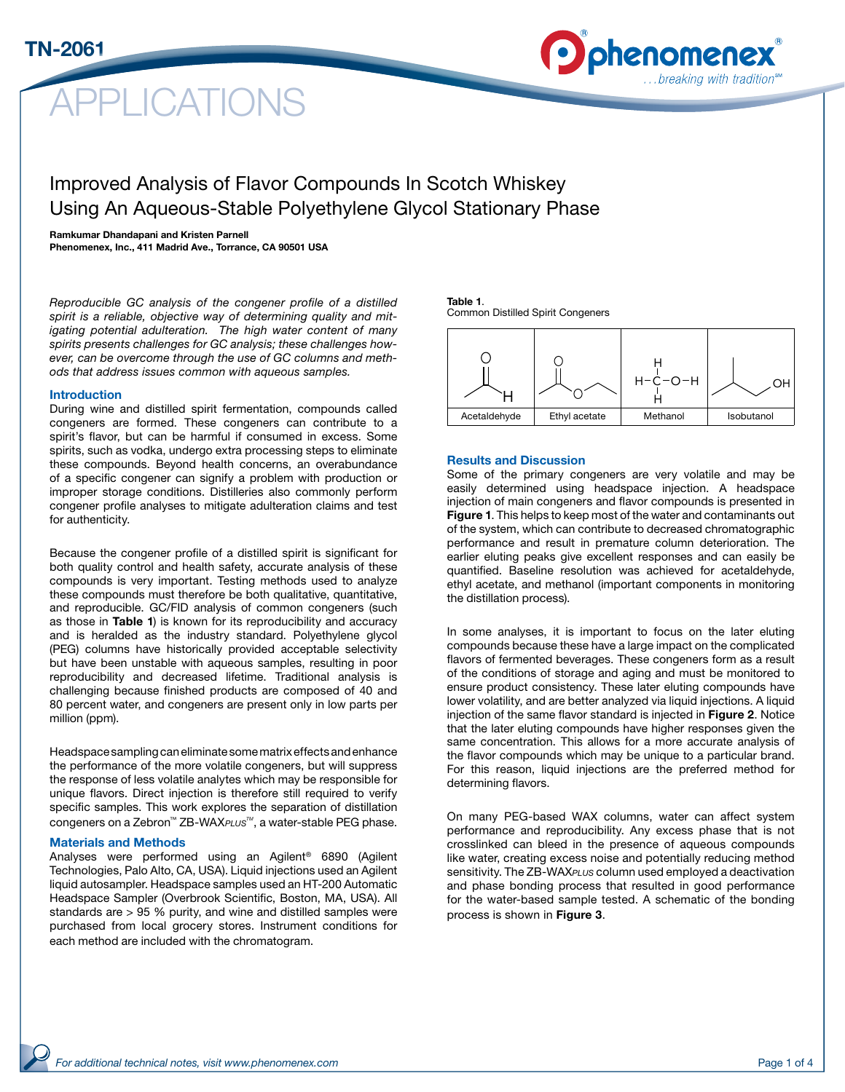# PLICATIONS



## Improved Analysis of Flavor Compounds In Scotch Whiskey Using An Aqueous-Stable Polyethylene Glycol Stationary Phase

#### Ramkumar Dhandapani and Kristen Parnell

Phenomenex, Inc., 411 Madrid Ave., Torrance, CA 90501 USA

*Reproducible GC analysis of the congener profile of a distilled spirit is a reliable, objective way of determining quality and mitigating potential adulteration. The high water content of many spirits presents challenges for GC analysis; these challenges however, can be overcome through the use of GC columns and methods that address issues common with aqueous samples.*

#### Introduction

During wine and distilled spirit fermentation, compounds called congeners are formed. These congeners can contribute to a spirit's flavor, but can be harmful if consumed in excess. Some spirits, such as vodka, undergo extra processing steps to eliminate these compounds. Beyond health concerns, an overabundance of a specific congener can signify a problem with production or improper storage conditions. Distilleries also commonly perform congener profile analyses to mitigate adulteration claims and test for authenticity.

Because the congener profile of a distilled spirit is significant for both quality control and health safety, accurate analysis of these compounds is very important. Testing methods used to analyze these compounds must therefore be both qualitative, quantitative, and reproducible. GC/FID analysis of common congeners (such as those in Table 1) is known for its reproducibility and accuracy and is heralded as the industry standard. Polyethylene glycol (PEG) columns have historically provided acceptable selectivity but have been unstable with aqueous samples, resulting in poor reproducibility and decreased lifetime. Traditional analysis is challenging because finished products are composed of 40 and 80 percent water, and congeners are present only in low parts per million (ppm).

Headspace sampling can eliminate some matrix effects and enhance the performance of the more volatile congeners, but will suppress the response of less volatile analytes which may be responsible for unique flavors. Direct injection is therefore still required to verify specific samples. This work explores the separation of distillation congeners on a Zebron™ ZB-WAX*PLUSTM*, a water-stable PEG phase.

#### Materials and Methods

Analyses were performed using an Agilent® 6890 (Agilent Technologies, Palo Alto, CA, USA). Liquid injections used an Agilent liquid autosampler. Headspace samples used an HT-200 Automatic Headspace Sampler (Overbrook Scientific, Boston, MA, USA). All standards are > 95 % purity, and wine and distilled samples were purchased from local grocery stores. Instrument conditions for each method are included with the chromatogram.

#### Table 1. Common Distilled Spirit Congeners



#### Results and Discussion

Some of the primary congeners are very volatile and may be easily determined using headspace injection. A headspace injection of main congeners and flavor compounds is presented in Figure 1. This helps to keep most of the water and contaminants out of the system, which can contribute to decreased chromatographic performance and result in premature column deterioration. The earlier eluting peaks give excellent responses and can easily be quantified. Baseline resolution was achieved for acetaldehyde, ethyl acetate, and methanol (important components in monitoring the distillation process).

In some analyses, it is important to focus on the later eluting compounds because these have a large impact on the complicated flavors of fermented beverages. These congeners form as a result of the conditions of storage and aging and must be monitored to ensure product consistency. These later eluting compounds have lower volatility, and are better analyzed via liquid injections. A liquid injection of the same flavor standard is injected in Figure 2. Notice that the later eluting compounds have higher responses given the same concentration. This allows for a more accurate analysis of the flavor compounds which may be unique to a particular brand. For this reason, liquid injections are the preferred method for determining flavors.

On many PEG-based WAX columns, water can affect system performance and reproducibility. Any excess phase that is not crosslinked can bleed in the presence of aqueous compounds like water, creating excess noise and potentially reducing method sensitivity. The ZB-WAX*PLUS* column used employed a deactivation and phase bonding process that resulted in good performance for the water-based sample tested. A schematic of the bonding process is shown in Figure 3.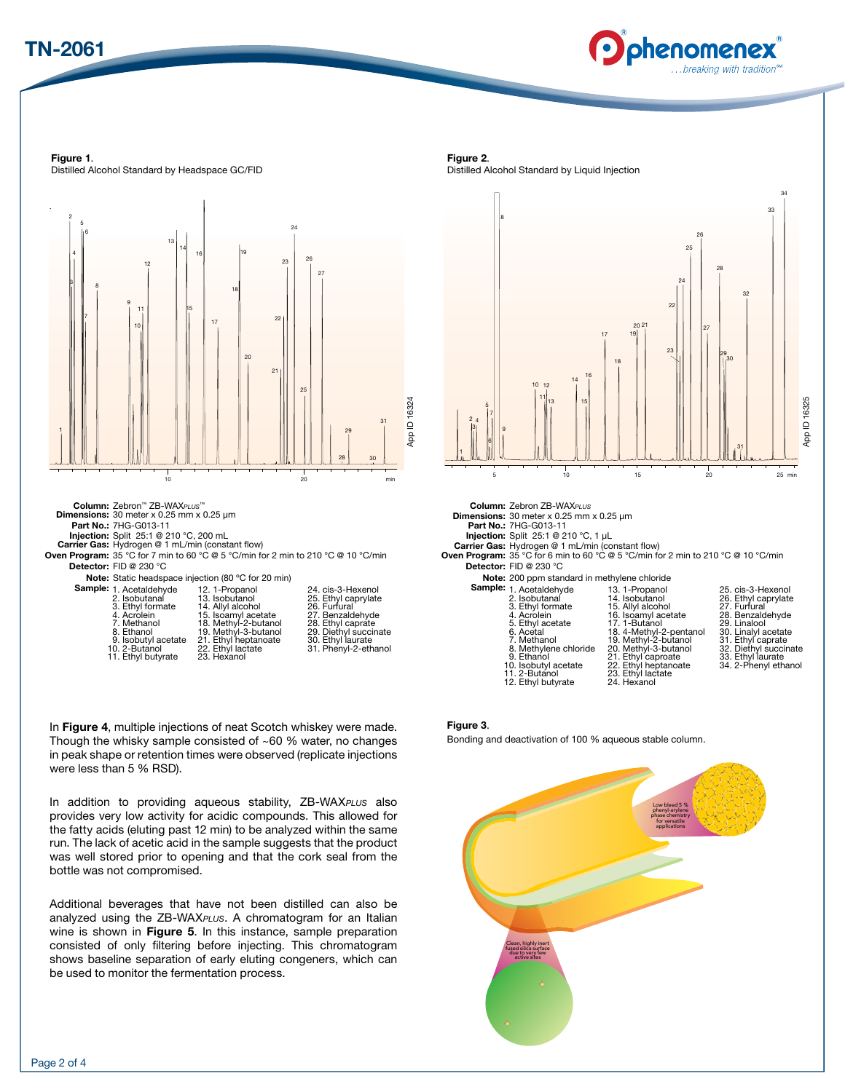



Figure 1. Distilled Alcohol Standard by Headspace GC/FID



11. Ethyl butyrate 23. Hexanol

In Figure 4, multiple injections of neat Scotch whiskey were made. Though the whisky sample consisted of  $~60$  % water, no changes in peak shape or retention times were observed (replicate injections were less than 5 % RSD).

In addition to providing aqueous stability, ZB-WAX*PLUS* also provides very low activity for acidic compounds. This allowed for the fatty acids (eluting past 12 min) to be analyzed within the same run. The lack of acetic acid in the sample suggests that the product was well stored prior to opening and that the cork seal from the bottle was not compromised.

Additional beverages that have not been distilled can also be analyzed using the ZB-WAX*PLUS*. A chromatogram for an Italian wine is shown in Figure 5. In this instance, sample preparation consisted of only filtering before injecting. This chromatogram shows baseline separation of early eluting congeners, which can be used to monitor the fermentation process.

Figure 2.

Distilled Alcohol Standard by Liquid Injection



Figure 3.

Bonding and deactivation of 100 % aqueous stable column.

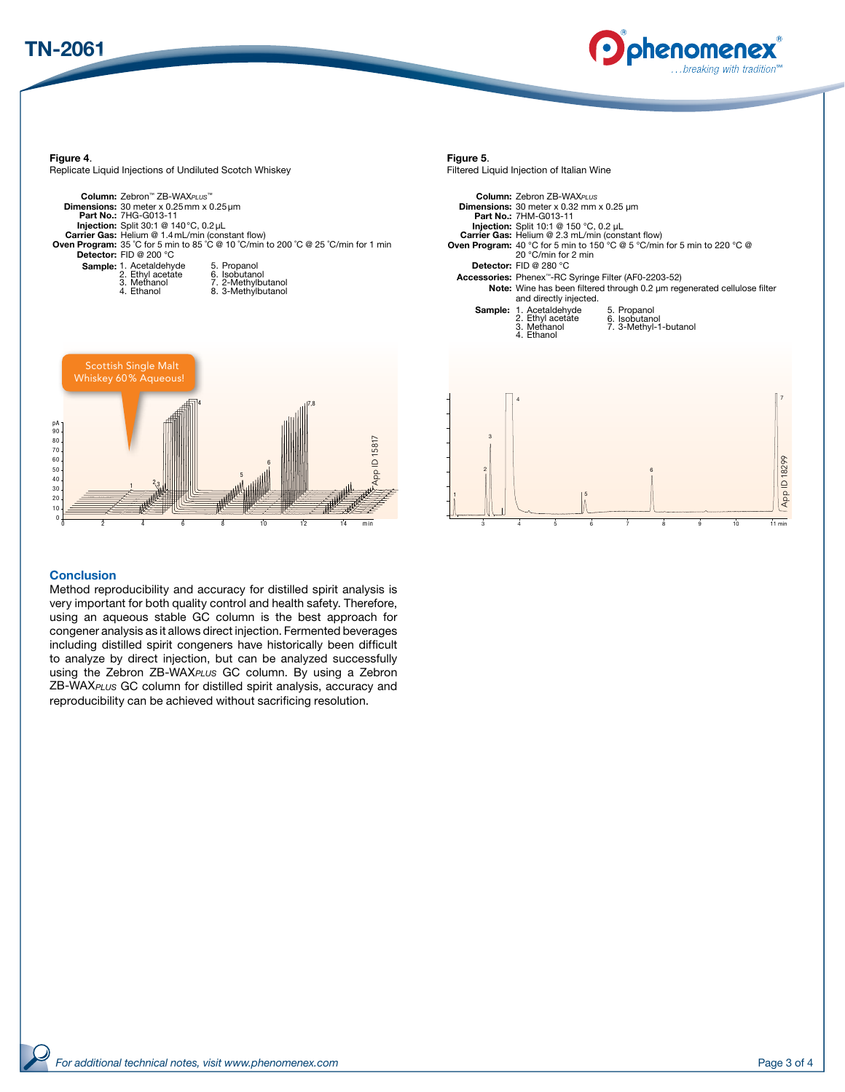



Figure 4.

Replicate Liquid Injections of Undiluted Scotch Whiskey

| Column: Zebron™ ZB-WAXPLUS™<br><b>Dimensions:</b> 30 meter $x$ 0.25 mm $x$ 0.25 $\mu$ m<br>Part No.: 7HG-G013-11<br><b>Injection:</b> Split 30:1 @ 140 °C, $0.2 \mu L$<br><b>Carrier Gas: Helium @ 1.4 mL/min (constant flow)</b><br><b>Detector:</b> FID @ 200 $^{\circ}$ C | <b>Oven Program:</b> 35 °C for 5 min to 85 °C @ 10 °C/min to 200 °C @ 25 °C/min for 1 min |
|------------------------------------------------------------------------------------------------------------------------------------------------------------------------------------------------------------------------------------------------------------------------------|-------------------------------------------------------------------------------------------|
| <b>Sample:</b> 1. Acetaldehyde<br>2. Ethyl acetate<br>3. Methanol<br>4. Ethanol                                                                                                                                                                                              | 5. Propanol<br>6. Isobutanol<br>7. 2-Methylbutanol<br>8. 3-Methylbutanol                  |



#### **Conclusion**

Method reproducibility and accuracy for distilled spirit analysis is very important for both quality control and health safety. Therefore, using an aqueous stable GC column is the best approach for congener analysis as it allows direct injection. Fermented beverages including distilled spirit congeners have historically been difficult to analyze by direct injection, but can be analyzed successfully using the Zebron ZB-WAX*PLUS* GC column. By using a Zebron ZB-WAX*PLUS* GC column for distilled spirit analysis, accuracy and reproducibility can be achieved without sacrificing resolution.